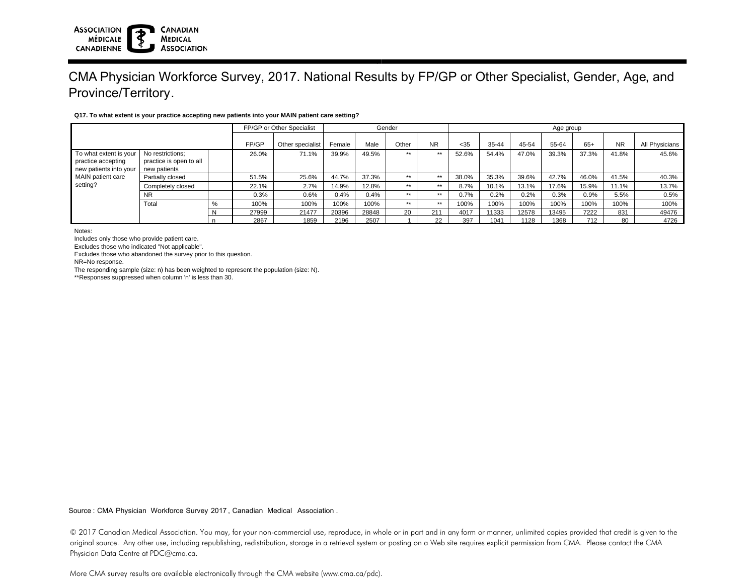# CMA Physician Workforce Survey, 2017. National Results by FP/GP or Other Specialist, Gender, Age, and Province/Territory.

### **Q17. To what extent is your practice accepting new patients into your MAIN patient care setting?**

|                                                                                                         |                         | FP/GP or Other Specialist |       | Gender           |        |       |       | Age group |       |           |       |       |       |           |                |
|---------------------------------------------------------------------------------------------------------|-------------------------|---------------------------|-------|------------------|--------|-------|-------|-----------|-------|-----------|-------|-------|-------|-----------|----------------|
|                                                                                                         |                         |                           | FP/GP | Other specialist | Female | Male  | Other | <b>NR</b> | $35$  | $35 - 44$ | 45-54 | 55-64 | $65+$ | <b>NR</b> | All Physicians |
| To what extent is your<br>practice accepting<br>new patients into your<br>MAIN patient care<br>setting? | No restrictions:        |                           | 26.0% | 71.1%            | 39.9%  | 49.5% | $***$ | $***$     | 52.6% | 54.4%     | 47.0% | 39.3% | 37.3% | 41.8%     | 45.6%          |
|                                                                                                         | practice is open to all |                           |       |                  |        |       |       |           |       |           |       |       |       |           |                |
|                                                                                                         | new patients            |                           |       |                  |        |       |       |           |       |           |       |       |       |           |                |
|                                                                                                         | Partially closed        |                           | 51.5% | 25.6%            | 44.7%  | 37.3% | $***$ | $***$     | 38.0% | 35.3%     | 39.6% | 42.7% | 46.0% | 41.5%     | 40.3%          |
|                                                                                                         | Completely closed       |                           | 22.1% | 2.7%             | 14.9%  | 12.8% | $***$ | $***$     | 8.7%  | 10.1%     | 13.1% | 17.6% | 15.9% | 11.1%     | 13.7%          |
|                                                                                                         | <b>NR</b>               |                           | 0.3%  | 0.6%             | 0.4%   | 0.4%  | $***$ | $***$     | 0.7%  | 0.2%      | 0.2%  | 0.3%  | 0.9%  | 5.5%      | 0.5%           |
|                                                                                                         | Total                   | %                         | 100%  | 100%             | 100%   | 100%  | $***$ | $***$     | 100%  | 100%      | 100%  | 100%  | 100%  | 100%      | 100%           |
|                                                                                                         |                         | N                         | 27999 | 21477            | 20396  | 28848 | 20    | 211       | 4017  | 11333     | 12578 | 13495 | 7222  | 831       | 49476          |
|                                                                                                         |                         |                           | 2867  | 1859             | 2196   | 2507  |       | 22        | 397   | 1041      | 1128  | 1368  | 712   | 80        | 4726           |

Notes:

Includes only those who provide patient care.

Excludes those who indicated "Not applicable".

Excludes those who abandoned the survey prior to this question.

NR=No response.

The responding sample (size: n) has been weighted to represent the population (size: N).

\*\*Responses suppressed when column 'n' is less than 30.

Source : CMA Physician Workforce Survey 2017, Canadian Medical Association .

© 2017 Canadian Medical Association. You may, for your non-commercial use, reproduce, in whole or in part and in any form or manner, unlimited copies provided that credit is given to the original source. Any other use, including republishing, redistribution, storage in a retrieval system or posting on a Web site requires explicit permission from CMA. Please contact the CMA Physician Data Centre at PDC@cma.ca.

More CMA survey results are available electronically through the CMA website (www.cma.ca/pdc).